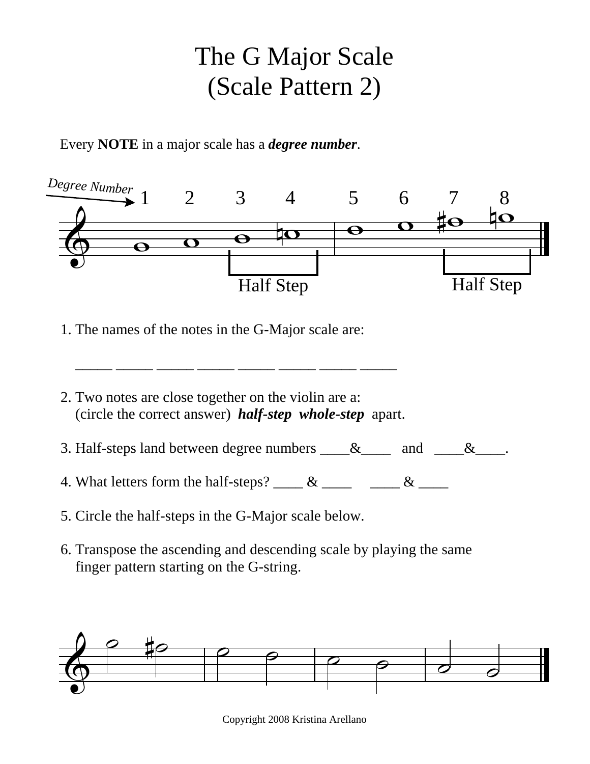## The G Major Scale (Scale Pattern 2)

Every **NOTE** in a major scale has a *degree number*.



- 1. The names of the notes in the G-Major scale are:
- 2. Two notes are close together on the violin are a: (circle the correct answer) *half-step whole-step* apart.

\_\_\_\_\_ \_\_\_\_\_ \_\_\_\_\_ \_\_\_\_\_ \_\_\_\_\_ \_\_\_\_\_ \_\_\_\_\_ \_\_\_\_\_

- 3. Half-steps land between degree numbers  $\_\_\&$  and  $\_\_\&$
- 4. What letters form the half-steps? \_\_\_\_ & \_\_\_\_  $\_\_\_\_\_\_\_\_\_\_\_\_\_\_\_\_\_\_\_$
- 5. Circle the half-steps in the G-Major scale below.
- 6. Transpose the ascending and descending scale by playing the same finger pattern starting on the G-string.



Copyright 2008 Kristina Arellano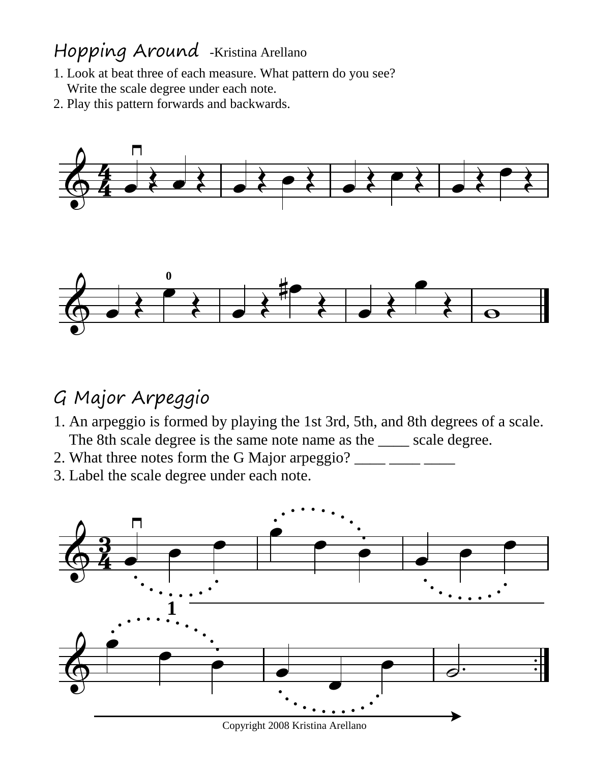## Hopping Around -Kristina Arellano

- 1. Look at beat three of each measure. What pattern do you see? Write the scale degree under each note.
- 2. Play this pattern forwards and backwards.



## G Major Arpeggio

- 1. An arpeggio is formed by playing the 1st 3rd, 5th, and 8th degrees of a scale. The 8th scale degree is the same note name as the \_\_\_\_ scale degree.
- 2. What three notes form the G Major arpeggio? \_\_\_\_\_ \_\_\_\_ \_\_\_
- 3. Label the scale degree under each note.



Copyright 2008 Kristina Arellano